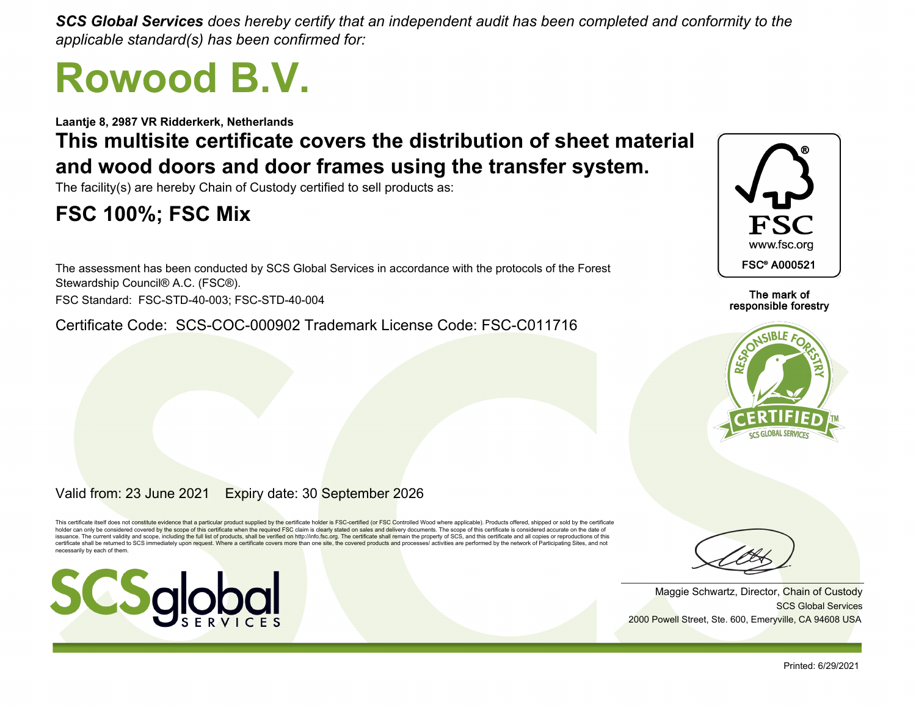*SCS Global Services does hereby certify that an independent audit has been completed and conformity to the applicable standard(s) has been confirmed for:*

## **Rowood B.V.**

**Laantje 8, 2987 VR Ridderkerk, Netherlands**

**This multisite certificate covers the distribution of sheet material and wood doors and door frames using the transfer system.**

The facility(s) are hereby Chain of Custody certified to sell products as:

## **FSC 100%; FSC Mix**

The assessment has been conducted by SCS Global Services in accordance with the protocols of the Forest Stewardship Council® A.C. (FSC®).

FSC Standard: FSC-STD-40-003; FSC-STD-40-004

Certificate Code: SCS-COC-000902 Trademark License Code: FSC-C011716



The mark of responsible forestry



Valid from: 23 June 2021 Expiry date: 30 September 2026

This certificate itself does not constitute evidence that a particular product supplied by the certificate holder is FSC-certified (or FSC Controlled Wood where applicable). Products offered, shipped or sold by the certif certificate shall be returned to SCS immediately upon request. Where a certificate covers more than one site, the covered products and processes/ activities are performed by the network of Participating Sites, and not necessarily by each of them.





SCS Global Services Maggie Schwartz, Director, Chain of Custody 2000 Powell Street, Ste. 600, Emeryville, CA 94608 USA